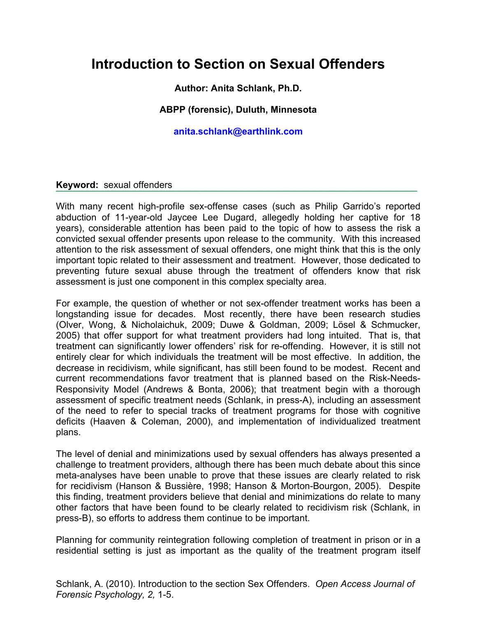# **Introduction to Section on Sexual Offenders**

## **Author: Anita Schlank, Ph.D.**

### **ABPP (forensic), Duluth, Minnesota**

#### **anita.schlank@earthlink.com**

#### **Keyword:** sexual offenders

With many recent high-profile sex-offense cases (such as Philip Garrido's reported abduction of 11-year-old Jaycee Lee Dugard, allegedly holding her captive for 18 years), considerable attention has been paid to the topic of how to assess the risk a convicted sexual offender presents upon release to the community. With this increased attention to the risk assessment of sexual offenders, one might think that this is the only important topic related to their assessment and treatment. However, those dedicated to preventing future sexual abuse through the treatment of offenders know that risk assessment is just one component in this complex specialty area.

**¯**¯¯¯¯¯¯¯¯¯¯¯¯¨¯¨¯¨¯¨¯¨¯¨

For example, the question of whether or not sex-offender treatment works has been a longstanding issue for decades. Most recently, there have been research studies (Olver, Wong, & Nicholaichuk, 2009; Duwe & Goldman, 2009; Lösel & Schmucker, 2005) that offer support for what treatment providers had long intuited. That is, that treatment can significantly lower offenders' risk for re-offending. However, it is still not entirely clear for which individuals the treatment will be most effective. In addition, the decrease in recidivism, while significant, has still been found to be modest. Recent and current recommendations favor treatment that is planned based on the Risk-Needs-Responsivity Model (Andrews & Bonta, 2006); that treatment begin with a thorough assessment of specific treatment needs (Schlank, in press-A), including an assessment of the need to refer to special tracks of treatment programs for those with cognitive deficits (Haaven & Coleman, 2000), and implementation of individualized treatment plans.

The level of denial and minimizations used by sexual offenders has always presented a challenge to treatment providers, although there has been much debate about this since meta-analyses have been unable to prove that these issues are clearly related to risk for recidivism (Hanson & Bussière, 1998; Hanson & Morton-Bourgon, 2005). Despite this finding, treatment providers believe that denial and minimizations do relate to many other factors that have been found to be clearly related to recidivism risk (Schlank, in press-B), so efforts to address them continue to be important.

Planning for community reintegration following completion of treatment in prison or in a residential setting is just as important as the quality of the treatment program itself

Schlank, A. (2010). Introduction to the section Sex Offenders. *Open Access Journal of Forensic Psychology, 2,* 1-5.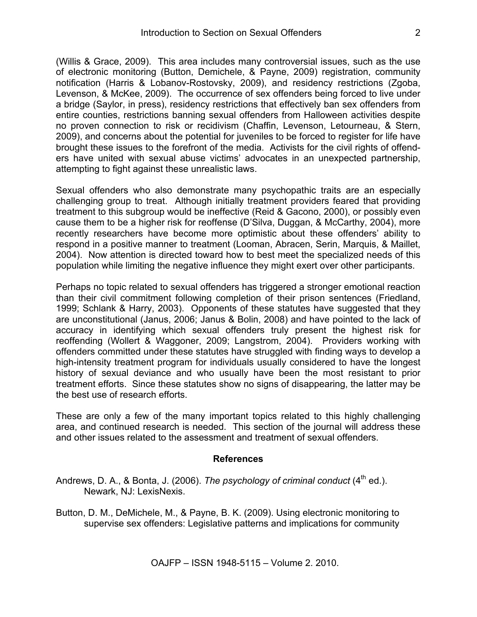(Willis & Grace, 2009). This area includes many controversial issues, such as the use of electronic monitoring (Button, Demichele, & Payne, 2009) registration, community notification (Harris & Lobanov-Rostovsky, 2009), and residency restrictions (Zgoba, Levenson, & McKee, 2009). The occurrence of sex offenders being forced to live under a bridge (Saylor, in press), residency restrictions that effectively ban sex offenders from entire counties, restrictions banning sexual offenders from Halloween activities despite no proven connection to risk or recidivism (Chaffin, Levenson, Letourneau, & Stern, 2009), and concerns about the potential for juveniles to be forced to register for life have brought these issues to the forefront of the media. Activists for the civil rights of offenders have united with sexual abuse victims' advocates in an unexpected partnership, attempting to fight against these unrealistic laws.

Sexual offenders who also demonstrate many psychopathic traits are an especially challenging group to treat. Although initially treatment providers feared that providing treatment to this subgroup would be ineffective (Reid & Gacono, 2000), or possibly even cause them to be a higher risk for reoffense (D'Silva, Duggan, & McCarthy, 2004), more recently researchers have become more optimistic about these offenders' ability to respond in a positive manner to treatment (Looman, Abracen, Serin, Marquis, & Maillet, 2004). Now attention is directed toward how to best meet the specialized needs of this population while limiting the negative influence they might exert over other participants.

Perhaps no topic related to sexual offenders has triggered a stronger emotional reaction than their civil commitment following completion of their prison sentences (Friedland, 1999; Schlank & Harry, 2003). Opponents of these statutes have suggested that they are unconstitutional (Janus, 2006; Janus & Bolin, 2008) and have pointed to the lack of accuracy in identifying which sexual offenders truly present the highest risk for reoffending (Wollert & Waggoner, 2009; Langstrom, 2004). Providers working with offenders committed under these statutes have struggled with finding ways to develop a high-intensity treatment program for individuals usually considered to have the longest history of sexual deviance and who usually have been the most resistant to prior treatment efforts. Since these statutes show no signs of disappearing, the latter may be the best use of research efforts.

These are only a few of the many important topics related to this highly challenging area, and continued research is needed. This section of the journal will address these and other issues related to the assessment and treatment of sexual offenders.

#### **References**

- Andrews, D. A., & Bonta, J. (2006). *The psychology of criminal conduct* (4<sup>th</sup> ed.). Newark, NJ: LexisNexis.
- Button, D. M., DeMichele, M., & Payne, B. K. (2009). Using electronic monitoring to supervise sex offenders: Legislative patterns and implications for community

OAJFP – ISSN 1948-5115 – Volume 2. 2010.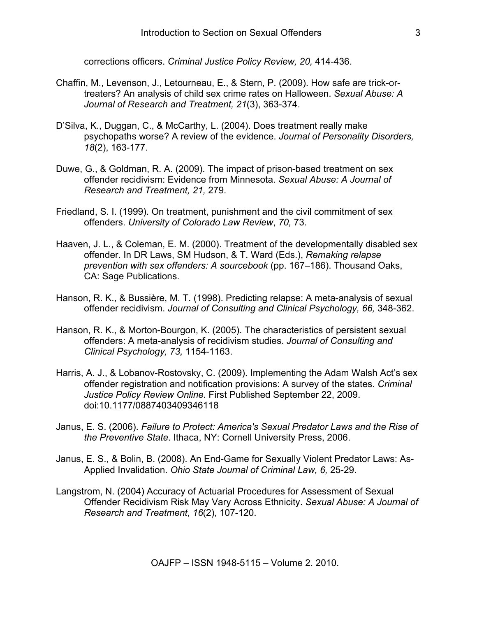corrections officers. *Criminal Justice Policy Review, 20,* 414-436.

- Chaffin, M., Levenson, J., Letourneau, E., & Stern, P. (2009). How safe are trick-ortreaters? An analysis of child sex crime rates on Halloween. *Sexual Abuse: A Journal of Research and Treatment, 21*(3), 363-374.
- D'Silva, K., Duggan, C., & McCarthy, L. (2004). Does treatment really make psychopaths worse? A review of the evidence. *Journal of Personality Disorders, 18*(2), 163-177.
- Duwe, G., & Goldman, R. A. (2009). The impact of prison-based treatment on sex offender recidivism: Evidence from Minnesota. *Sexual Abuse: A Journal of Research and Treatment, 21,* 279.
- Friedland, S. I. (1999). On treatment, punishment and the civil commitment of sex offenders. *University of Colorado Law Review*, *70,* 73.
- Haaven, J. L., & Coleman, E. M. (2000). Treatment of the developmentally disabled sex offender. In DR Laws, SM Hudson, & T. Ward (Eds.), *Remaking relapse prevention with sex offenders: A sourcebook* (pp. 167–186). Thousand Oaks, CA: Sage Publications.
- Hanson, R. K., & Bussière, M. T. (1998). Predicting relapse: A meta-analysis of sexual offender recidivism. *Journal of Consulting and Clinical Psychology, 66,* 348-362.
- Hanson, R. K., & Morton-Bourgon, K. (2005). The characteristics of persistent sexual offenders: A meta-analysis of recidivism studies. *Journal of Consulting and Clinical Psychology, 73,* 1154-1163.
- Harris, A. J., & Lobanov-Rostovsky, C. (2009). Implementing the Adam Walsh Act's sex offender registration and notification provisions: A survey of the states. *Criminal Justice Policy Review Online.* First Published September 22, 2009. doi:10.1177/0887403409346118
- Janus, E. S. (2006). *Failure to Protect: America's Sexual Predator Laws and the Rise of the Preventive State*. Ithaca, NY: Cornell University Press, 2006.
- Janus, E. S., & Bolin, B. (2008). An End-Game for Sexually Violent Predator Laws: As-Applied Invalidation. *Ohio State Journal of Criminal Law, 6,* 25-29.
- Langstrom, N. (2004) Accuracy of Actuarial Procedures for Assessment of Sexual Offender Recidivism Risk May Vary Across Ethnicity. *Sexual Abuse: A Journal of Research and Treatment*, *16*(2), 107-120.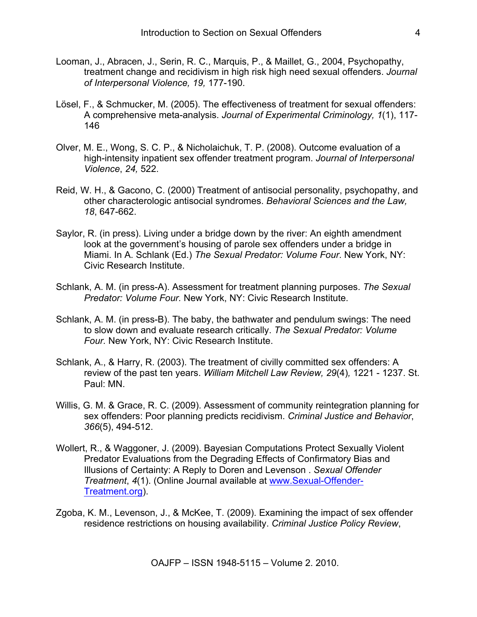- Looman, J., Abracen, J., Serin, R. C., Marquis, P., & Maillet, G., 2004, Psychopathy, treatment change and recidivism in high risk high need sexual offenders. *Journal of Interpersonal Violence, 19,* 177-190.
- Lösel, F., & Schmucker, M. (2005). The effectiveness of treatment for sexual offenders: A comprehensive meta-analysis. *Journal of Experimental Criminology, 1*(1), 117- 146
- Olver, M. E., Wong, S. C. P., & Nicholaichuk, T. P. (2008). Outcome evaluation of a high-intensity inpatient sex offender treatment program. *Journal of Interpersonal Violence*, *24,* 522.
- Reid, W. H., & Gacono, C. (2000) Treatment of antisocial personality, psychopathy, and other characterologic antisocial syndromes. *Behavioral Sciences and the Law, 18*, 647-662.
- Saylor, R. (in press). Living under a bridge down by the river: An eighth amendment look at the government's housing of parole sex offenders under a bridge in Miami. In A. Schlank (Ed.) *The Sexual Predator: Volume Four*. New York, NY: Civic Research Institute.
- Schlank, A. M. (in press-A). Assessment for treatment planning purposes. *The Sexual Predator: Volume Four.* New York, NY: Civic Research Institute.
- Schlank, A. M. (in press-B). The baby, the bathwater and pendulum swings: The need to slow down and evaluate research critically. *The Sexual Predator: Volume Four.* New York, NY: Civic Research Institute.
- Schlank, A., & Harry, R. (2003). The treatment of civilly committed sex offenders: A review of the past ten years. *William Mitchell Law Review, 29*(4)*,* 1221 - 1237. St. Paul: MN.
- Willis, G. M. & Grace, R. C. (2009). Assessment of community reintegration planning for sex offenders: Poor planning predicts recidivism. *Criminal Justice and Behavior*, *366*(5), 494-512.
- Wollert, R., & Waggoner, J. (2009). Bayesian Computations Protect Sexually Violent Predator Evaluations from the Degrading Effects of Confirmatory Bias and Illusions of Certainty: A Reply to Doren and Levenson . *Sexual Offender Treatment*, *4*(1). (Online Journal available at www.Sexual-Offender-Treatment.org).
- Zgoba, K. M., Levenson, J., & McKee, T. (2009). Examining the impact of sex offender residence restrictions on housing availability. *Criminal Justice Policy Review*,

OAJFP – ISSN 1948-5115 – Volume 2. 2010.